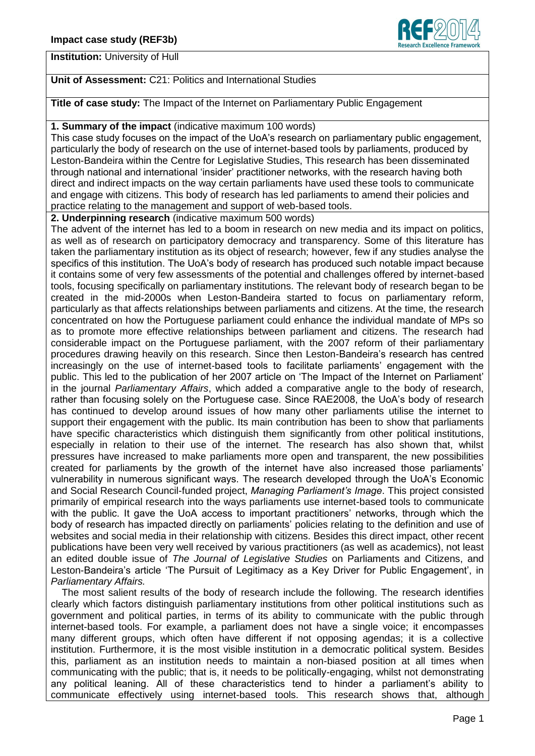

**Institution:** University of Hull

## **Unit of Assessment:** C21: Politics and International Studies

**Title of case study:** The Impact of the Internet on Parliamentary Public Engagement

## **1. Summary of the impact** (indicative maximum 100 words)

This case study focuses on the impact of the UoA's research on parliamentary public engagement, particularly the body of research on the use of internet-based tools by parliaments, produced by Leston-Bandeira within the Centre for Legislative Studies, This research has been disseminated through national and international 'insider' practitioner networks, with the research having both direct and indirect impacts on the way certain parliaments have used these tools to communicate and engage with citizens. This body of research has led parliaments to amend their policies and practice relating to the management and support of web-based tools.

**2. Underpinning research** (indicative maximum 500 words)

The advent of the internet has led to a boom in research on new media and its impact on politics, as well as of research on participatory democracy and transparency. Some of this literature has taken the parliamentary institution as its object of research; however, few if any studies analyse the specifics of this institution. The UoA's body of research has produced such notable impact because it contains some of very few assessments of the potential and challenges offered by internet-based tools, focusing specifically on parliamentary institutions. The relevant body of research began to be created in the mid-2000s when Leston-Bandeira started to focus on parliamentary reform, particularly as that affects relationships between parliaments and citizens. At the time, the research concentrated on how the Portuguese parliament could enhance the individual mandate of MPs so as to promote more effective relationships between parliament and citizens. The research had considerable impact on the Portuguese parliament, with the 2007 reform of their parliamentary procedures drawing heavily on this research. Since then Leston-Bandeira's research has centred increasingly on the use of internet-based tools to facilitate parliaments' engagement with the public. This led to the publication of her 2007 article on 'The Impact of the Internet on Parliament' in the journal *Parliamentary Affairs*, which added a comparative angle to the body of research, rather than focusing solely on the Portuguese case. Since RAE2008, the UoA's body of research has continued to develop around issues of how many other parliaments utilise the internet to support their engagement with the public. Its main contribution has been to show that parliaments have specific characteristics which distinguish them significantly from other political institutions, especially in relation to their use of the internet. The research has also shown that, whilst pressures have increased to make parliaments more open and transparent, the new possibilities created for parliaments by the growth of the internet have also increased those parliaments' vulnerability in numerous significant ways. The research developed through the UoA's Economic and Social Research Council-funded project, *Managing Parliament's Image*. This project consisted primarily of empirical research into the ways parliaments use internet-based tools to communicate with the public. It gave the UoA access to important practitioners' networks, through which the body of research has impacted directly on parliaments' policies relating to the definition and use of websites and social media in their relationship with citizens. Besides this direct impact, other recent publications have been very well received by various practitioners (as well as academics), not least an edited double issue of *The Journal of Legislative Studies* on Parliaments and Citizens, and Leston-Bandeira's article 'The Pursuit of Legitimacy as a Key Driver for Public Engagement', in *Parliamentary Affairs.*

 The most salient results of the body of research include the following. The research identifies clearly which factors distinguish parliamentary institutions from other political institutions such as government and political parties, in terms of its ability to communicate with the public through internet-based tools. For example, a parliament does not have a single voice; it encompasses many different groups, which often have different if not opposing agendas; it is a collective institution. Furthermore, it is the most visible institution in a democratic political system. Besides this, parliament as an institution needs to maintain a non-biased position at all times when communicating with the public; that is, it needs to be politically-engaging, whilst not demonstrating any political leaning. All of these characteristics tend to hinder a parliament's ability to communicate effectively using internet-based tools. This research shows that, although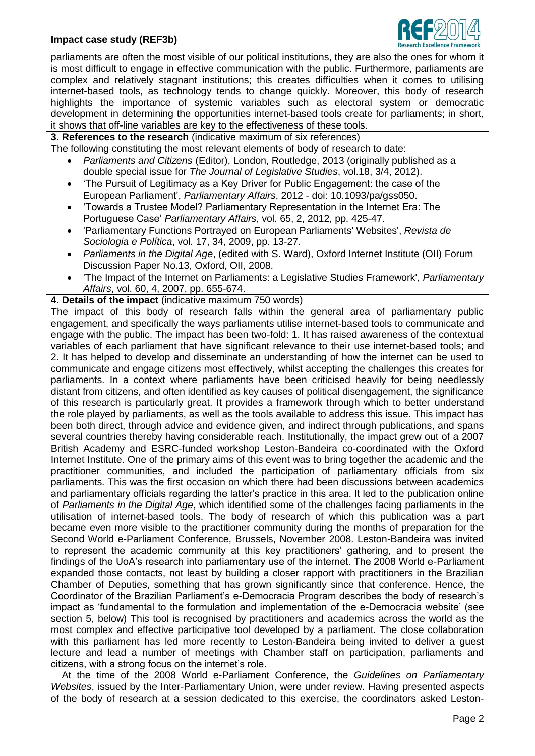

parliaments are often the most visible of our political institutions, they are also the ones for whom it is most difficult to engage in effective communication with the public. Furthermore, parliaments are complex and relatively stagnant institutions; this creates difficulties when it comes to utilising internet-based tools, as technology tends to change quickly. Moreover, this body of research highlights the importance of systemic variables such as electoral system or democratic development in determining the opportunities internet-based tools create for parliaments; in short, it shows that off-line variables are key to the effectiveness of these tools.

**3. References to the research** (indicative maximum of six references)

The following constituting the most relevant elements of body of research to date:

- *Parliaments and Citizens* (Editor), London, Routledge, 2013 (originally published as a double special issue for *The Journal of Legislative Studies*, vol.18, 3/4, 2012).
- 'The Pursuit of Legitimacy as a Key Driver for Public Engagement: the case of the European Parliament', *Parliamentary Affairs*, 2012 - doi: 10.1093/pa/gss050.
- 'Towards a Trustee Model? Parliamentary Representation in the Internet Era: The Portuguese Case' *Parliamentary Affairs*, vol. 65, 2, 2012, pp. 425-47.
- 'Parliamentary Functions Portrayed on European Parliaments' Websites', *Revista de Sociologia e Política*, vol. 17, 34, 2009, pp. 13-27.
- *Parliaments in the Digital Age*, (edited with S. Ward), Oxford Internet Institute (OII) Forum Discussion Paper No.13, Oxford, OII, 2008.
- 'The Impact of the Internet on Parliaments: a Legislative Studies Framework', *Parliamentary Affairs*, vol. 60, 4, 2007, pp. 655-674.

**4. Details of the impact** (indicative maximum 750 words)

The impact of this body of research falls within the general area of parliamentary public engagement, and specifically the ways parliaments utilise internet-based tools to communicate and engage with the public. The impact has been two-fold: 1. It has raised awareness of the contextual variables of each parliament that have significant relevance to their use internet-based tools; and 2. It has helped to develop and disseminate an understanding of how the internet can be used to communicate and engage citizens most effectively, whilst accepting the challenges this creates for parliaments. In a context where parliaments have been criticised heavily for being needlessly distant from citizens, and often identified as key causes of political disengagement, the significance of this research is particularly great. It provides a framework through which to better understand the role played by parliaments, as well as the tools available to address this issue. This impact has been both direct, through advice and evidence given, and indirect through publications, and spans several countries thereby having considerable reach. Institutionally, the impact grew out of a 2007 British Academy and ESRC-funded workshop Leston-Bandeira co-coordinated with the Oxford Internet Institute. One of the primary aims of this event was to bring together the academic and the practitioner communities, and included the participation of parliamentary officials from six parliaments. This was the first occasion on which there had been discussions between academics and parliamentary officials regarding the latter's practice in this area. It led to the publication online of *Parliaments in the Digital Age*, which identified some of the challenges facing parliaments in the utilisation of internet-based tools. The body of research of which this publication was a part became even more visible to the practitioner community during the months of preparation for the Second World e-Parliament Conference, Brussels, November 2008. Leston-Bandeira was invited to represent the academic community at this key practitioners' gathering, and to present the findings of the UoA's research into parliamentary use of the internet. The 2008 World e-Parliament expanded those contacts, not least by building a closer rapport with practitioners in the Brazilian Chamber of Deputies, something that has grown significantly since that conference. Hence, the Coordinator of the Brazilian Parliament's e-Democracia Program describes the body of research's impact as 'fundamental to the formulation and implementation of the e-Democracia website' (see section 5, below) This tool is recognised by practitioners and academics across the world as the most complex and effective participative tool developed by a parliament. The close collaboration with this parliament has led more recently to Leston-Bandeira being invited to deliver a guest lecture and lead a number of meetings with Chamber staff on participation, parliaments and citizens, with a strong focus on the internet's role.

 At the time of the 2008 World e-Parliament Conference, the *Guidelines on Parliamentary Websites*, issued by the Inter-Parliamentary Union, were under review. Having presented aspects of the body of research at a session dedicated to this exercise, the coordinators asked Leston-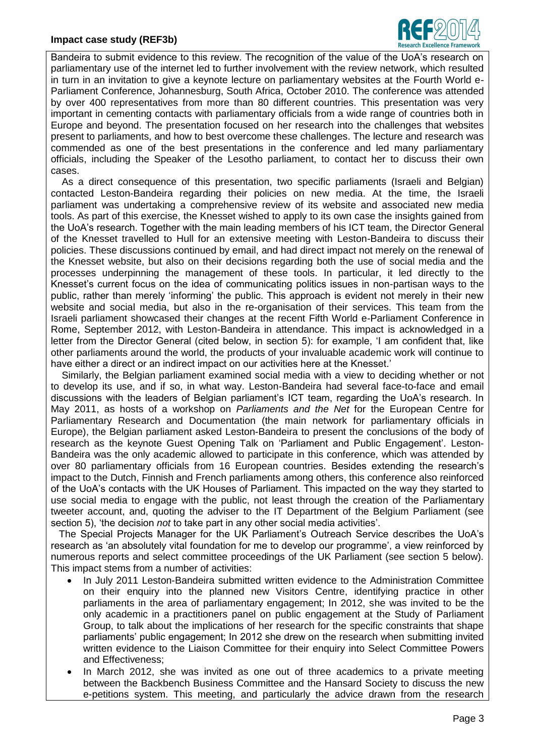

Bandeira to submit evidence to this review. The recognition of the value of the UoA's research on parliamentary use of the internet led to further involvement with the review network, which resulted in turn in an invitation to give a keynote lecture on parliamentary websites at the Fourth World e-Parliament Conference, Johannesburg, South Africa, October 2010. The conference was attended by over 400 representatives from more than 80 different countries. This presentation was very important in cementing contacts with parliamentary officials from a wide range of countries both in Europe and beyond. The presentation focused on her research into the challenges that websites present to parliaments, and how to best overcome these challenges. The lecture and research was commended as one of the best presentations in the conference and led many parliamentary officials, including the Speaker of the Lesotho parliament, to contact her to discuss their own cases.

 As a direct consequence of this presentation, two specific parliaments (Israeli and Belgian) contacted Leston-Bandeira regarding their policies on new media. At the time, the Israeli parliament was undertaking a comprehensive review of its website and associated new media tools. As part of this exercise, the Knesset wished to apply to its own case the insights gained from the UoA's research. Together with the main leading members of his ICT team, the Director General of the Knesset travelled to Hull for an extensive meeting with Leston-Bandeira to discuss their policies. These discussions continued by email, and had direct impact not merely on the renewal of the Knesset website, but also on their decisions regarding both the use of social media and the processes underpinning the management of these tools. In particular, it led directly to the Knesset's current focus on the idea of communicating politics issues in non-partisan ways to the public, rather than merely 'informing' the public. This approach is evident not merely in their new website and social media, but also in the re-organisation of their services. This team from the Israeli parliament showcased their changes at the recent Fifth World e-Parliament Conference in Rome, September 2012, with Leston-Bandeira in attendance. This impact is acknowledged in a letter from the Director General (cited below, in section 5): for example, 'I am confident that, like other parliaments around the world, the products of your invaluable academic work will continue to have either a direct or an indirect impact on our activities here at the Knesset.'

 Similarly, the Belgian parliament examined social media with a view to deciding whether or not to develop its use, and if so, in what way. Leston-Bandeira had several face-to-face and email discussions with the leaders of Belgian parliament's ICT team, regarding the UoA's research. In May 2011, as hosts of a workshop on *Parliaments and the Net* for the European Centre for Parliamentary Research and Documentation (the main network for parliamentary officials in Europe), the Belgian parliament asked Leston-Bandeira to present the conclusions of the body of research as the keynote Guest Opening Talk on 'Parliament and Public Engagement'. Leston-Bandeira was the only academic allowed to participate in this conference, which was attended by over 80 parliamentary officials from 16 European countries. Besides extending the research's impact to the Dutch, Finnish and French parliaments among others, this conference also reinforced of the UoA's contacts with the UK Houses of Parliament. This impacted on the way they started to use social media to engage with the public, not least through the creation of the Parliamentary tweeter account, and, quoting the adviser to the IT Department of the Belgium Parliament (see section 5), 'the decision *not* to take part in any other social media activities'.

 The Special Projects Manager for the UK Parliament's Outreach Service describes the UoA's research as 'an absolutely vital foundation for me to develop our programme', a view reinforced by numerous reports and select committee proceedings of the UK Parliament (see section 5 below). This impact stems from a number of activities:

- In July 2011 Leston-Bandeira submitted written evidence to the Administration Committee on their enquiry into the planned new Visitors Centre, identifying practice in other parliaments in the area of parliamentary engagement; In 2012, she was invited to be the only academic in a practitioners panel on public engagement at the Study of Parliament Group, to talk about the implications of her research for the specific constraints that shape parliaments' public engagement; In 2012 she drew on the research when submitting invited written evidence to the Liaison Committee for their enquiry into Select Committee Powers and Effectiveness;
- In March 2012, she was invited as one out of three academics to a private meeting between the Backbench Business Committee and the Hansard Society to discuss the new e-petitions system. This meeting, and particularly the advice drawn from the research